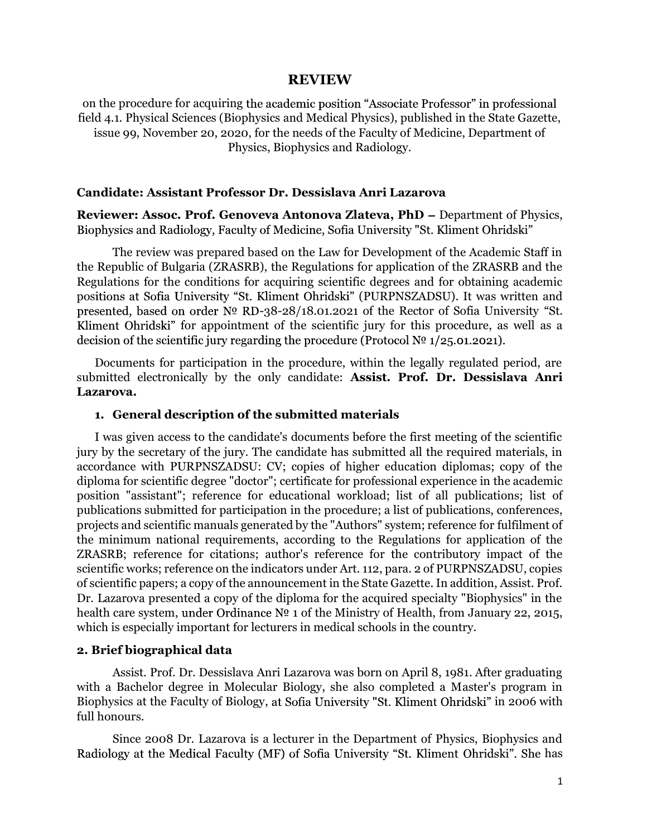#### REVIEW

on the procedure for acquiring the academic position "Associate Professor" in professional field 4.1. Physical Sciences (Biophysics and Medical Physics), published in the State Gazette, issue 99, November 20, 2020, for the needs of the Faculty of Medicine, Department of Physics, Biophysics and Radiology.

#### Candidate: Assistant Professor Dr. Dessislava Anri Lazarova

Reviewer: Assoc. Prof. Genoveva Antonova Zlateva, PhD - Department of Physics, Biophysics and Radiology, Faculty of Medicine, Sofia University "St. Kliment Ohridski"

The review was prepared based on the Law for Development of the Academic Staff in the Republic of Bulgaria (ZRASRB), the Regulations for application of the ZRASRB and the Regulations for the conditions for acquiring scientific degrees and for obtaining academic positions at Sofia University "St. Kliment Ohridski" (PURPNSZADSU). It was written and presented, based on order  $N^{\circ}$  RD-38-28/18.01.2021 of the Rector of Sofia University "St. Kliment Ohridski" for appointment of the scientific jury for this procedure, as well as a decision of the scientific jury regarding the procedure (Protocol  $N<sup>0</sup>$  1/25.01.2021).

Documents for participation in the procedure, within the legally regulated period, are submitted electronically by the only candidate: Assist. Prof. Dr. Dessislava Anri Lazarova.

#### 1. General description of the submitted materials

I was given access to the candidate's documents before the first meeting of the scientific jury by the secretary of the jury. The candidate has submitted all the required materials, in accordance with PURPNSZADSU: CV; copies of higher education diplomas; copy of the diploma for scientific degree "doctor"; certificate for professional experience in the academic position "assistant"; reference for educational workload; list of all publications; list of publications submitted for participation in the procedure; a list of publications, conferences, projects and scientific manuals generated by the "Authors" system; reference for fulfilment of the minimum national requirements, according to the Regulations for application of the ZRASRB; reference for citations; author's reference for the contributory impact of the scientific works; reference on the indicators under Art. 112, para. 2 of PURPNSZADSU, copies of scientific papers; a copy of the announcement in the State Gazette. In addition, Assist. Prof. Dr. Lazarova presented a copy of the diploma for the acquired specialty "Biophysics" in the health care system, under Ordinance  $N^{\circ}$  1 of the Ministry of Health, from January 22, 2015, which is especially important for lecturers in medical schools in the country.

#### 2. Brief biographical data

Assist. Prof. Dr. Dessislava Anri Lazarova was born on April 8, 1981. After graduating with a Bachelor degree in Molecular Biology, she also completed a Master's program in Biophysics at the Faculty of Biology, at Sofia University "St. Kliment Ohridski" in 2006 with full honours.

Since 2008 Dr. Lazarova is a lecturer in the Department of Physics, Biophysics and Radiology at the Medical Faculty (MF) of Sofia University "St. Kliment Ohridski". She has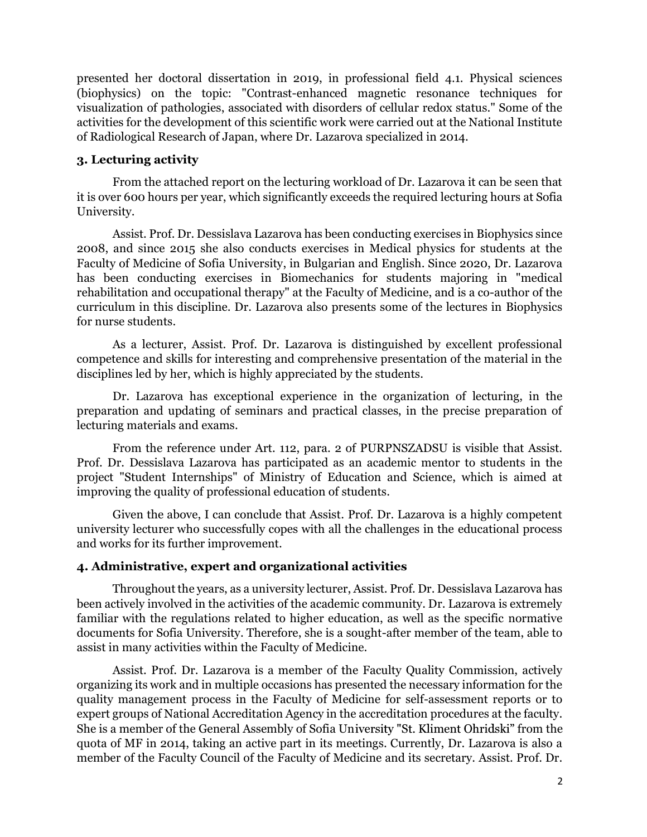presented her doctoral dissertation in 2019, in professional field 4.1. Physical sciences (biophysics) on the topic: "Contrast-enhanced magnetic resonance techniques for visualization of pathologies, associated with disorders of cellular redox status." Some of the activities for the development of this scientific work were carried out at the National Institute of Radiological Research of Japan, where Dr. Lazarova specialized in 2014.

#### 3. Lecturing activity

From the attached report on the lecturing workload of Dr. Lazarova it can be seen that it is over 600 hours per year, which significantly exceeds the required lecturing hours at Sofia University.

Assist. Prof. Dr. Dessislava Lazarova has been conducting exercises in Biophysics since 2008, and since 2015 she also conducts exercises in Medical physics for students at the Faculty of Medicine of Sofia University, in Bulgarian and English. Since 2020, Dr. Lazarova has been conducting exercises in Biomechanics for students majoring in "medical rehabilitation and occupational therapy" at the Faculty of Medicine, and is a co-author of the curriculum in this discipline. Dr. Lazarova also presents some of the lectures in Biophysics for nurse students.

As a lecturer, Assist. Prof. Dr. Lazarova is distinguished by excellent professional competence and skills for interesting and comprehensive presentation of the material in the disciplines led by her, which is highly appreciated by the students.

Dr. Lazarova has exceptional experience in the organization of lecturing, in the preparation and updating of seminars and practical classes, in the precise preparation of lecturing materials and exams.

From the reference under Art. 112, para. 2 of PURPNSZADSU is visible that Assist. Prof. Dr. Dessislava Lazarova has participated as an academic mentor to students in the project "Student Internships" of Ministry of Education and Science, which is aimed at improving the quality of professional education of students.

Given the above, I can conclude that Assist. Prof. Dr. Lazarova is a highly competent university lecturer who successfully copes with all the challenges in the educational process and works for its further improvement.

#### 4. Administrative, expert and organizational activities

Throughout the years, as a university lecturer, Assist. Prof. Dr. Dessislava Lazarova has been actively involved in the activities of the academic community. Dr. Lazarova is extremely familiar with the regulations related to higher education, as well as the specific normative documents for Sofia University. Therefore, she is a sought-after member of the team, able to assist in many activities within the Faculty of Medicine.

Assist. Prof. Dr. Lazarova is a member of the Faculty Quality Commission, actively organizing its work and in multiple occasions has presented the necessary information for the quality management process in the Faculty of Medicine for self-assessment reports or to expert groups of National Accreditation Agency in the accreditation procedures at the faculty. She is a member of the General Assembly of Sofia University "St. Kliment Ohridski" from the quota of MF in 2014, taking an active part in its meetings. Currently, Dr. Lazarova is also a member of the Faculty Council of the Faculty of Medicine and its secretary. Assist. Prof. Dr.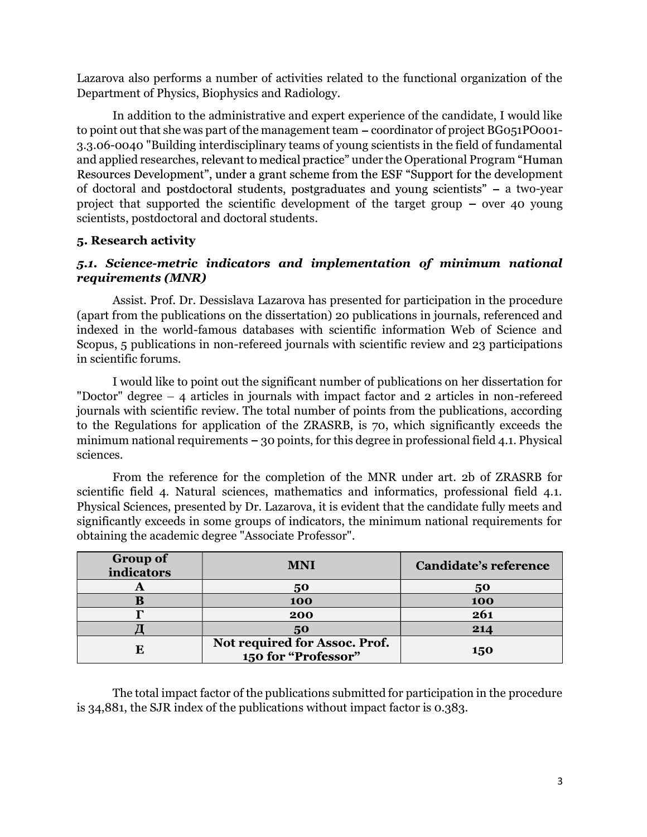Lazarova also performs a number of activities related to the functional organization of the Department of Physics, Biophysics and Radiology.

In addition to the administrative and expert experience of the candidate, I would like to point out that she was part of the management team – coordinator of project BG051PO001-3.3.06-0040 "Building interdisciplinary teams of young scientists in the field of fundamental and applied researches, relevant to medical practice" under the Operational Program "Human Resources Development", under a grant scheme from the ESF "Support for the development of doctoral and postdoctoral students, postgraduates and young scientists"  $-$  a two-year project that supported the scientific development of the target group  $-$  over 40 young scientists, postdoctoral and doctoral students.

## 5. Research activity

# 5.1. Science-metric indicators and implementation of minimum national requirements (MNR)

Assist. Prof. Dr. Dessislava Lazarova has presented for participation in the procedure (apart from the publications on the dissertation) 20 publications in journals, referenced and indexed in the world-famous databases with scientific information Web of Science and Scopus, 5 publications in non-refereed journals with scientific review and 23 participations in scientific forums.

I would like to point out the significant number of publications on her dissertation for "Doctor" degree  $-4$  articles in journals with impact factor and 2 articles in non-refereed journals with scientific review. The total number of points from the publications, according to the Regulations for application of the ZRASRB, is 70, which significantly exceeds the minimum national requirements  $-30$  points, for this degree in professional field 4.1. Physical sciences.

From the reference for the completion of the MNR under art. 2b of ZRASRB for scientific field 4. Natural sciences, mathematics and informatics, professional field 4.1. Physical Sciences, presented by Dr. Lazarova, it is evident that the candidate fully meets and significantly exceeds in some groups of indicators, the minimum national requirements for obtaining the academic degree "Associate Professor".

| <b>Group of</b><br>indicators | <b>MNI</b>                                           | <b>Candidate's reference</b> |
|-------------------------------|------------------------------------------------------|------------------------------|
| A                             | 50                                                   | 50                           |
|                               | 100                                                  | 100                          |
|                               | 200                                                  | 261                          |
|                               | 50                                                   | 214                          |
| E                             | Not required for Assoc. Prof.<br>150 for "Professor" | 150                          |

The total impact factor of the publications submitted for participation in the procedure is 34,881, the SJR index of the publications without impact factor is 0.383.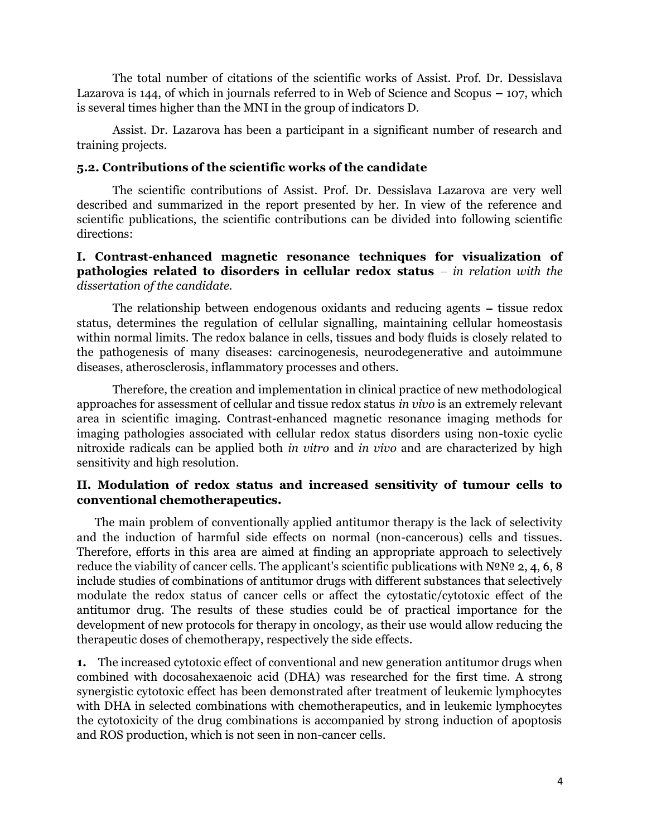The total number of citations of the scientific works of Assist. Prof. Dr. Dessislava Lazarova is 144, of which in journals referred to in Web of Science and Scopus  $-107$ , which is several times higher than the MNI in the group of indicators D.

Assist. Dr. Lazarova has been a participant in a significant number of research and training projects.

#### 5.2. Contributions of the scientific works of the candidate

The scientific contributions of Assist. Prof. Dr. Dessislava Lazarova are very well described and summarized in the report presented by her. In view of the reference and scientific publications, the scientific contributions can be divided into following scientific directions:

## I. Contrast-enhanced magnetic resonance techniques for visualization of pathologies related to disorders in cellular redox status  $-$  in relation with the dissertation of the candidate.

The relationship between endogenous oxidants and reducing agents  $-$  tissue redox status, determines the regulation of cellular signalling, maintaining cellular homeostasis within normal limits. The redox balance in cells, tissues and body fluids is closely related to the pathogenesis of many diseases: carcinogenesis, neurodegenerative and autoimmune diseases, atherosclerosis, inflammatory processes and others.

Therefore, the creation and implementation in clinical practice of new methodological approaches for assessment of cellular and tissue redox status in vivo is an extremely relevant area in scientific imaging. Contrast-enhanced magnetic resonance imaging methods for imaging pathologies associated with cellular redox status disorders using non-toxic cyclic nitroxide radicals can be applied both in vitro and in vivo and are characterized by high sensitivity and high resolution.

## II. Modulation of redox status and increased sensitivity of tumour cells to conventional chemotherapeutics.

The main problem of conventionally applied antitumor therapy is the lack of selectivity and the induction of harmful side effects on normal (non-cancerous) cells and tissues. Therefore, efforts in this area are aimed at finding an appropriate approach to selectively reduce the viability of cancer cells. The applicant's scientific publications with  $N^{\circ}N^{\circ}$  2, 4, 6, 8 include studies of combinations of antitumor drugs with different substances that selectively modulate the redox status of cancer cells or affect the cytostatic/cytotoxic effect of the antitumor drug. The results of these studies could be of practical importance for the development of new protocols for therapy in oncology, as their use would allow reducing the therapeutic doses of chemotherapy, respectively the side effects.

1. The increased cytotoxic effect of conventional and new generation antitumor drugs when combined with docosahexaenoic acid (DHA) was researched for the first time. A strong synergistic cytotoxic effect has been demonstrated after treatment of leukemic lymphocytes with DHA in selected combinations with chemotherapeutics, and in leukemic lymphocytes the cytotoxicity of the drug combinations is accompanied by strong induction of apoptosis and ROS production, which is not seen in non-cancer cells.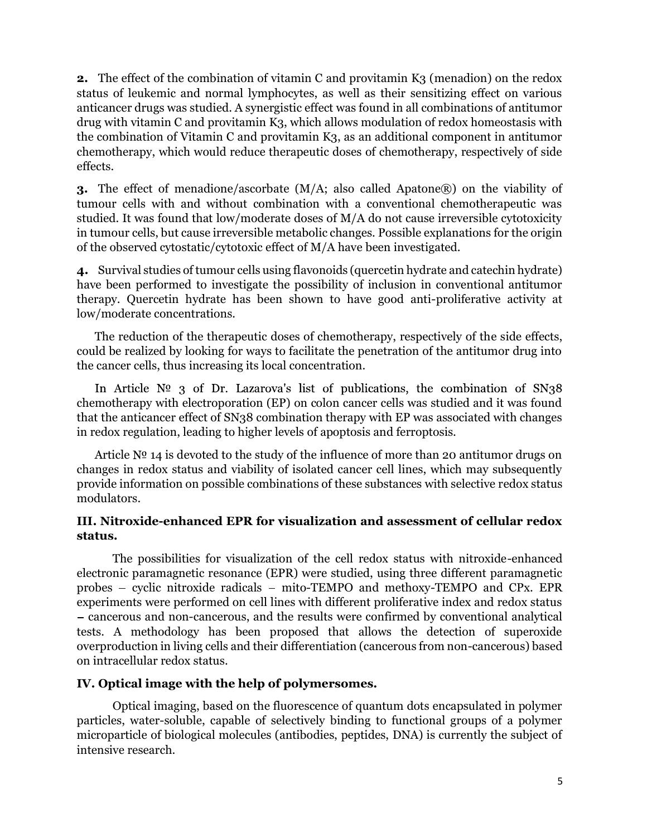**2.** The effect of the combination of vitamin C and provitamin K3 (menadion) on the redox status of leukemic and normal lymphocytes, as well as their sensitizing effect on various anticancer drugs was studied. A synergistic effect was found in all combinations of antitumor drug with vitamin C and provitamin K3, which allows modulation of redox homeostasis with the combination of Vitamin C and provitamin K3, as an additional component in antitumor chemotherapy, which would reduce therapeutic doses of chemotherapy, respectively of side effects.

3. The effect of menadione/ascorbate (M/A; also called Apatone®) on the viability of tumour cells with and without combination with a conventional chemotherapeutic was studied. It was found that low/moderate doses of M/A do not cause irreversible cytotoxicity in tumour cells, but cause irreversible metabolic changes. Possible explanations for the origin of the observed cytostatic/cytotoxic effect of M/A have been investigated.

4. Survival studies of tumour cells using flavonoids (quercetin hydrate and catechin hydrate) have been performed to investigate the possibility of inclusion in conventional antitumor therapy. Quercetin hydrate has been shown to have good anti-proliferative activity at low/moderate concentrations.

The reduction of the therapeutic doses of chemotherapy, respectively of the side effects, could be realized by looking for ways to facilitate the penetration of the antitumor drug into the cancer cells, thus increasing its local concentration.

In Article  $N^{\circ}$  3 of Dr. Lazarova's list of publications, the combination of SN38 chemotherapy with electroporation (EP) on colon cancer cells was studied and it was found that the anticancer effect of SN38 combination therapy with EP was associated with changes in redox regulation, leading to higher levels of apoptosis and ferroptosis.

Article  $N<sup>o</sup>$  14 is devoted to the study of the influence of more than 20 antitumor drugs on changes in redox status and viability of isolated cancer cell lines, which may subsequently provide information on possible combinations of these substances with selective redox status modulators.

## III. Nitroxide-enhanced EPR for visualization and assessment of cellular redox status.

The possibilities for visualization of the cell redox status with nitroxide-enhanced electronic paramagnetic resonance (EPR) were studied, using three different paramagnetic probes  $-$  cyclic nitroxide radicals  $-$  mito-TEMPO and methoxy-TEMPO and CPx. EPR experiments were performed on cell lines with different proliferative index and redox status cancerous and non-cancerous, and the results were confirmed by conventional analytical tests. A methodology has been proposed that allows the detection of superoxide overproduction in living cells and their differentiation (cancerous from non-cancerous) based on intracellular redox status.

### IV. Optical image with the help of polymersomes.

Optical imaging, based on the fluorescence of quantum dots encapsulated in polymer particles, water-soluble, capable of selectively binding to functional groups of a polymer microparticle of biological molecules (antibodies, peptides, DNA) is currently the subject of intensive research.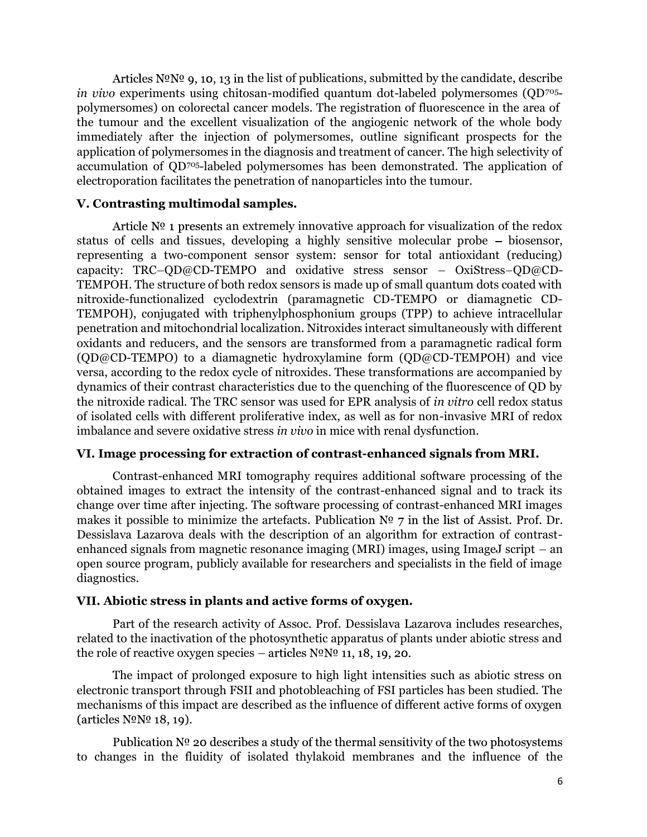Articles  $N^{\circ}N^{\circ}$  9, 10, 13 in the list of publications, submitted by the candidate, describe in vivo experiments using chitosan-modified quantum dot-labeled polymersomes (QD705 polymersomes) on colorectal cancer models. The registration of fluorescence in the area of the tumour and the excellent visualization of the angiogenic network of the whole body immediately after the injection of polymersomes, outline significant prospects for the application of polymersomes in the diagnosis and treatment of cancer. The high selectivity of accumulation of QD705-labeled polymersomes has been demonstrated. The application of electroporation facilitates the penetration of nanoparticles into the tumour.

### V. Contrasting multimodal samples.

Article  $N<sup>o</sup>$  1 presents an extremely innovative approach for visualization of the redox status of cells and tissues, developing a highly sensitive molecular probe  $-$  biosensor, representing a two-component sensor system: sensor for total antioxidant (reducing) capacity: TRC-OD@CD-TEMPO and oxidative stress sensor - OxiStress-QD@CD-TEMPOH. The structure of both redox sensors is made up of small quantum dots coated with nitroxide-functionalized cyclodextrin (paramagnetic CD-TEMPO or diamagnetic CD-TEMPOH), conjugated with triphenylphosphonium groups (TPP) to achieve intracellular penetration and mitochondrial localization. Nitroxides interact simultaneously with different oxidants and reducers, and the sensors are transformed from a paramagnetic radical form (QD@CD-TEMPO) to a diamagnetic hydroxylamine form (QD@CD-TEMPOH) and vice versa, according to the redox cycle of nitroxides. These transformations are accompanied by dynamics of their contrast characteristics due to the quenching of the fluorescence of QD by the nitroxide radical. The TRC sensor was used for EPR analysis of in vitro cell redox status of isolated cells with different proliferative index, as well as for non-invasive MRI of redox imbalance and severe oxidative stress in vivo in mice with renal dysfunction.

### VI. Image processing for extraction of contrast-enhanced signals from MRI.

Contrast-enhanced MRI tomography requires additional software processing of the obtained images to extract the intensity of the contrast-enhanced signal and to track its change over time after injecting. The software processing of contrast-enhanced MRI images makes it possible to minimize the artefacts. Publication  $N^{\circ}$  7 in the list of Assist. Prof. Dr. Dessislava Lazarova deals with the description of an algorithm for extraction of contrastenhanced signals from magnetic resonance imaging (MRI) images, using ImageJ script  $-$  an open source program, publicly available for researchers and specialists in the field of image diagnostics.

# VII. Abiotic stress in plants and active forms of oxygen.

Part of the research activity of Assoc. Prof. Dessislava Lazarova includes researches, related to the inactivation of the photosynthetic apparatus of plants under abiotic stress and the role of reactive oxygen species  $-$  articles  $N^{\circ}N^{\circ}$  11, 18, 19, 20.

The impact of prolonged exposure to high light intensities such as abiotic stress on electronic transport through FSII and photobleaching of FSI particles has been studied. The mechanisms of this impact are described as the influence of different active forms of oxygen (articles  $N^{\Omega}N^{\Omega}$  18, 19).

Publication  $N^{\circ}$  20 describes a study of the thermal sensitivity of the two photosystems to changes in the fluidity of isolated thylakoid membranes and the influence of the